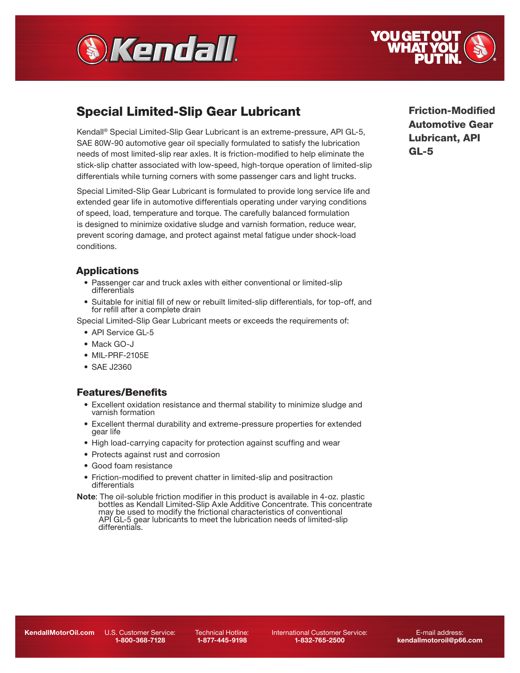



# Special Limited-Slip Gear Lubricant

Kendall® Special Limited-Slip Gear Lubricant is an extreme-pressure, API GL-5, SAE 80W-90 automotive gear oil specially formulated to satisfy the lubrication needs of most limited-slip rear axles. It is friction-modified to help eliminate the stick-slip chatter associated with low-speed, high-torque operation of limited-slip differentials while turning corners with some passenger cars and light trucks.

Special Limited-Slip Gear Lubricant is formulated to provide long service life and extended gear life in automotive differentials operating under varying conditions of speed, load, temperature and torque. The carefully balanced formulation is designed to minimize oxidative sludge and varnish formation, reduce wear, prevent scoring damage, and protect against metal fatigue under shock-load conditions.

### **Applications**

- Passenger car and truck axles with either conventional or limited-slip differentials
- Suitable for initial fill of new or rebuilt limited-slip differentials, for top-off, and for refill after a complete drain

Special Limited-Slip Gear Lubricant meets or exceeds the requirements of:

- API Service GL-5
- Mack GO-J
- MIL-PRF-2105E
- SAE J2360

#### Features/Benefits

- Excellent oxidation resistance and thermal stability to minimize sludge and varnish formation
- Excellent thermal durability and extreme-pressure properties for extended gear life
- High load-carrying capacity for protection against scuffing and wear
- Protects against rust and corrosion
- Good foam resistance
- Friction-modified to prevent chatter in limited-slip and positraction differentials
- **Note:** The oil-soluble friction modifier in this product is available in 4-oz. plastic<br>bottles as Kendall Limited-Slip Axle Additive Concentrate. This concentrate<br>may be used to modify the frictional characteristics of co API GL-5 gear lubricants to meet the lubrication needs of limited-slip differentials.

Friction-Modified Automotive Gear Lubricant, API GL-5

KendallMotorOil.com U.S. Customer Service:

1-800-368-7128

Technical Hotline: 1-877-445-9198

International Customer Service: 1-832-765-2500

E-mail address: kendallmotoroil@p66.com